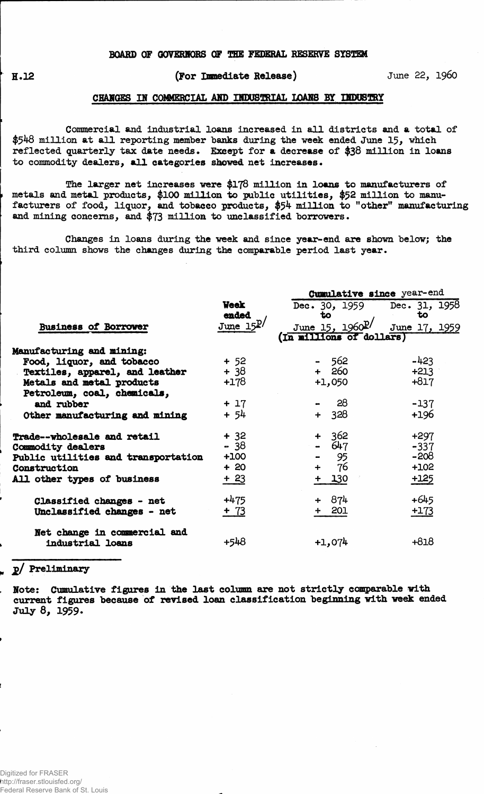### **BOARD OF OOVERHORS OF THE FEDERAL RESERVE SYSTEM**

**H.12** 

### **(For Immediate Release) June 22, i960**

#### **CHARGES** *IS* **COMMERCIAL AMD IHDUBTOIAL LOAMS BY dDOSTRY**

**Commercial and industrial loans increased in all districts and a total of \$^48 million at all reporting member banks during the week ended June 15, which reflected quarterly tax date needs. Except for a decrease of \$38 million in loans to commodity dealers, all categories shewed net increases •**

**The larger net increases were \$178 million in loans to manufacturers of <sup>f</sup> metals and metal products, \$100 million to public utilities, \$52 million to manufacturers of food, liquor, and tobacco products, \$54 million to "other" manufacturing** and mining concerns, and \$73 million to unclassified borrowers.

**Changes in loans during the week and since year-end are shown below; the third column shows the changes during the comparable period last year.**

|                                     |               | Cumulative since year-end     |               |  |  |  |  |  |  |
|-------------------------------------|---------------|-------------------------------|---------------|--|--|--|--|--|--|
|                                     | <b>Week</b>   | Dec. 30, 1959 Dec. 31, 1958   |               |  |  |  |  |  |  |
|                                     | ended         | to                            | to            |  |  |  |  |  |  |
| <b>Business of Borrower</b>         | June $15^{D}$ | June 15, $1960^{\frac{p}{2}}$ | June 17, 1959 |  |  |  |  |  |  |
|                                     |               | (In millions of dollars)      |               |  |  |  |  |  |  |
| Manufacturing and mining:           |               |                               |               |  |  |  |  |  |  |
| Food, liquor, and tobacco           | $+ 52$        | - 562                         | $-423$        |  |  |  |  |  |  |
| Textiles, apparel, and leather      | $+38$         | $+ 260$                       | $+213$        |  |  |  |  |  |  |
| Metals and metal products           | $+178$        | $+1,050$                      | $+817$        |  |  |  |  |  |  |
| Petroleum, coal, chemicals,         |               |                               |               |  |  |  |  |  |  |
| and rubber                          | $+17$         | $-28$                         | $-137$        |  |  |  |  |  |  |
| Other manufacturing and mining      | $+ 54$        | $+ 328$                       | $+196$        |  |  |  |  |  |  |
| Trade--wholesale and retail         | $+32$         | $+362$                        | $+297$        |  |  |  |  |  |  |
| Commodity dealers                   | $-38$         | $-647$                        | $-337$        |  |  |  |  |  |  |
| Public utilities and transportation | $+100$        | $-$ 95                        | $-208$        |  |  |  |  |  |  |
| Construction                        | $+20$         | -76<br>$+$                    | $+102$        |  |  |  |  |  |  |
| All other types of business         | $+23$         | $+ 130$                       |               |  |  |  |  |  |  |
| Classified changes - net            | $+475$        | + 874                         | $+645$        |  |  |  |  |  |  |
| Unclassified changes - net          | $+ 73$        | $+ 201$                       | $+173$        |  |  |  |  |  |  |
| Net change in commercial and        |               |                               |               |  |  |  |  |  |  |
| industrial loans                    | +548          | $+1,074$                      | $+818$        |  |  |  |  |  |  |

## **" jj>/ Preliminary**

**!** 

**Note: Cumulative figures in the last column are not strictly comparable with current figures because of revised loan classification beginning with week ended July 8, 1959.**